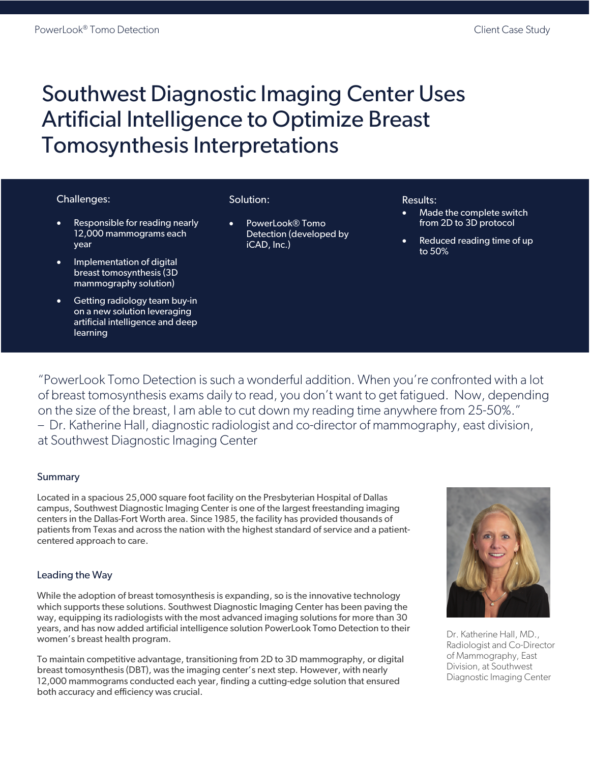# Southwest Diagnostic Imaging Center Uses Artificial Intelligence to Optimize Breast Tomosynthesis Interpretations

## Challenges:

- Responsible for reading nearly 12,000 mammograms each year
- Implementation of digital breast tomosynthesis (3D mammography solution)
- Getting radiology team buy-in on a new solution leveraging artificial intelligence and deep learning

## Solution:

• PowerLook® Tomo Detection (developed by iCAD, Inc.)

#### Results:

- Made the complete switch from 2D to 3D protocol
- Reduced reading time of up to 50%

"PowerLook Tomo Detection is such a wonderful addition. When you're confronted with a lot of breast tomosynthesis exams daily to read, you don't want to get fatigued. Now, depending on the size of the breast, I am able to cut down my reading time anywhere from 25-50%." – Dr. Katherine Hall, diagnostic radiologist and co-director of mammography, east division, at Southwest Diagnostic Imaging Center

# **Summary**

Located in a spacious 25,000 square foot facility on the Presbyterian Hospital of Dallas campus, Southwest Diagnostic Imaging Center is one of the largest freestanding imaging centers in the Dallas-Fort Worth area. Since 1985, the facility has provided thousands of patients from Texas and across the nation with the highest standard of service and a patientcentered approach to care.

# Leading the Way

While the adoption of breast tomosynthesis is expanding, so is the innovative technology which supports these solutions. Southwest Diagnostic Imaging Center has been paving the way, equipping its radiologists with the most advanced imaging solutions for more than 30 years, and has now added artificial intelligence solution PowerLook Tomo Detection to their women's breast health program.

To maintain competitive advantage, transitioning from 2D to 3D mammography, or digital breast tomosynthesis (DBT), was the imaging center's next step. However, with nearly 12,000 mammograms conducted each year, finding a cutting-edge solution that ensured both accuracy and efficiency was crucial.



Dr. Katherine Hall, MD., Radiologist and Co-Director of Mammography, East Division, at Southwest Diagnostic Imaging Center